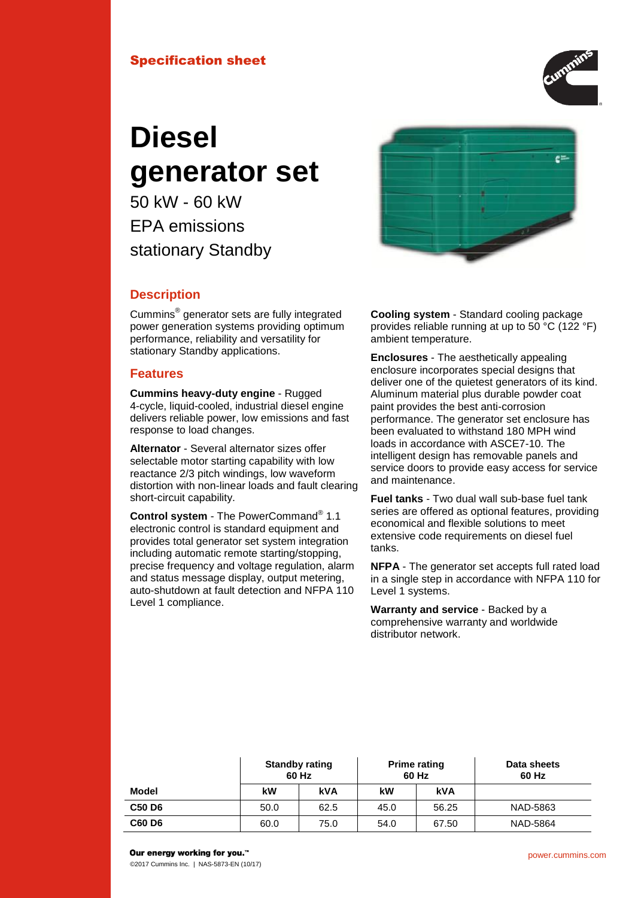## Specification sheet



# **Diesel generator set**

50 kW - 60 kW EPA emissions stationary Standby



## **Description**

Cummins® generator sets are fully integrated power generation systems providing optimum performance, reliability and versatility for stationary Standby applications.

#### **Features**

**Cummins heavy-duty engine** - Rugged 4-cycle, liquid-cooled, industrial diesel engine delivers reliable power, low emissions and fast response to load changes.

**Alternator** - Several alternator sizes offer selectable motor starting capability with low reactance 2/3 pitch windings, low waveform distortion with non-linear loads and fault clearing short-circuit capability.

**Control system** - The PowerCommand® 1.1 electronic control is standard equipment and provides total generator set system integration including automatic remote starting/stopping, precise frequency and voltage regulation, alarm and status message display, output metering, auto-shutdown at fault detection and NFPA 110 Level 1 compliance.

**Cooling system** - Standard cooling package provides reliable running at up to 50 °C (122 °F) ambient temperature.

**Enclosures** - The aesthetically appealing enclosure incorporates special designs that deliver one of the quietest generators of its kind. Aluminum material plus durable powder coat paint provides the best anti-corrosion performance. The generator set enclosure has been evaluated to withstand 180 MPH wind loads in accordance with ASCE7-10. The intelligent design has removable panels and service doors to provide easy access for service and maintenance.

**Fuel tanks** - Two dual wall sub-base fuel tank series are offered as optional features, providing economical and flexible solutions to meet extensive code requirements on diesel fuel tanks.

**NFPA** - The generator set accepts full rated load in a single step in accordance with NFPA 110 for Level 1 systems.

**Warranty and service** - Backed by a comprehensive warranty and worldwide distributor network.

|        | 60 Hz | <b>Standby rating</b> | <b>Prime rating</b><br>60 Hz |       | Data sheets<br>60 Hz |
|--------|-------|-----------------------|------------------------------|-------|----------------------|
| Model  | kW    | kVA                   | kW                           | kVA   |                      |
| C50 D6 | 50.0  | 62.5                  | 45.0                         | 56.25 | NAD-5863             |
| C60 D6 | 60.0  | 75.0                  | 54.0                         | 67.50 | NAD-5864             |

Our energy working for you.™

©2017 Cummins Inc. | NAS-5873-EN (10/17)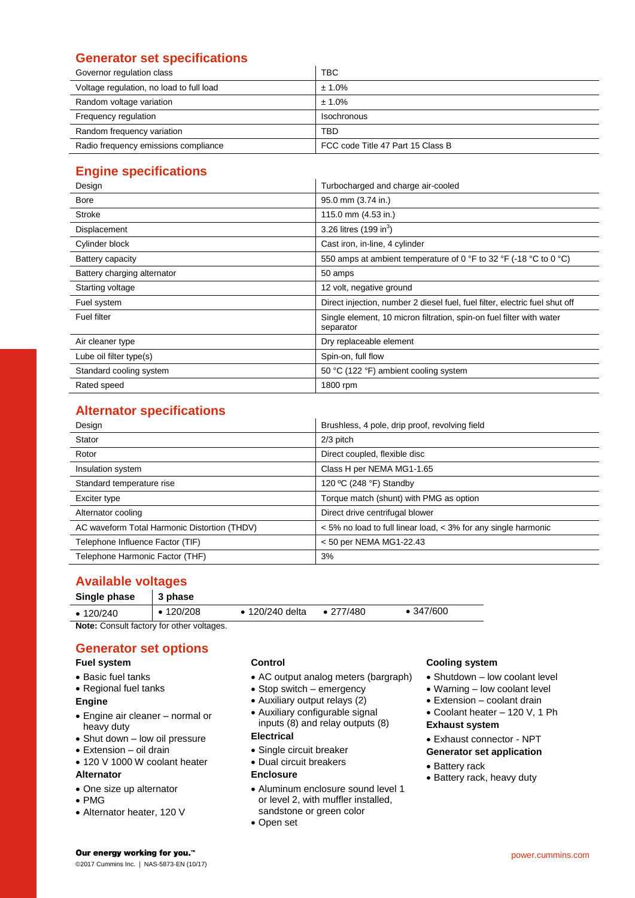## **Generator set specifications**

| Governor regulation class                | <b>TBC</b>                        |
|------------------------------------------|-----------------------------------|
| Voltage regulation, no load to full load | ± 1.0%                            |
| Random voltage variation                 | ± 1.0%                            |
| Frequency regulation                     | Isochronous                       |
| Random frequency variation               | TBD                               |
| Radio frequency emissions compliance     | FCC code Title 47 Part 15 Class B |

## **Engine specifications**

| Design                      | Turbocharged and charge air-cooled                                                |  |  |
|-----------------------------|-----------------------------------------------------------------------------------|--|--|
| <b>Bore</b>                 | 95.0 mm (3.74 in.)                                                                |  |  |
| <b>Stroke</b>               | 115.0 mm (4.53 in.)                                                               |  |  |
| Displacement                | 3.26 litres $(199 in3)$                                                           |  |  |
| Cylinder block              | Cast iron, in-line, 4 cylinder                                                    |  |  |
| Battery capacity            | 550 amps at ambient temperature of 0 °F to 32 °F (-18 °C to 0 °C)                 |  |  |
| Battery charging alternator | 50 amps                                                                           |  |  |
| Starting voltage            | 12 volt, negative ground                                                          |  |  |
| Fuel system                 | Direct injection, number 2 diesel fuel, fuel filter, electric fuel shut off       |  |  |
| Fuel filter                 | Single element, 10 micron filtration, spin-on fuel filter with water<br>separator |  |  |
| Air cleaner type            | Dry replaceable element                                                           |  |  |
| Lube oil filter type(s)     | Spin-on, full flow                                                                |  |  |
| Standard cooling system     | 50 °C (122 °F) ambient cooling system                                             |  |  |
| Rated speed                 | 1800 rpm                                                                          |  |  |

## **Alternator specifications**

| Design                                       | Brushless, 4 pole, drip proof, revolving field                 |
|----------------------------------------------|----------------------------------------------------------------|
| Stator                                       | $2/3$ pitch                                                    |
| Rotor                                        | Direct coupled, flexible disc                                  |
| Insulation system                            | Class H per NEMA MG1-1.65                                      |
| Standard temperature rise                    | 120 °C (248 °F) Standby                                        |
| Exciter type                                 | Torque match (shunt) with PMG as option                        |
| Alternator cooling                           | Direct drive centrifugal blower                                |
| AC waveform Total Harmonic Distortion (THDV) | < 5% no load to full linear load, < 3% for any single harmonic |
| Telephone Influence Factor (TIF)             | $<$ 50 per NEMA MG1-22.43                                      |
| Telephone Harmonic Factor (THF)              | 3%                                                             |

## **Available voltages**

| Single phase    | $\vert$ 3 phase |                 |                   |                   |  |
|-----------------|-----------------|-----------------|-------------------|-------------------|--|
| $\cdot$ 120/240 | $\cdot$ 120/208 | • 120/240 delta | $\bullet$ 277/480 | $\bullet$ 347/600 |  |

**Note:** Consult factory for other voltages.

## **Generator set options**

## **Fuel system**

- Basic fuel tanks
- Regional fuel tanks

#### **Engine**

- Engine air cleaner normal or heavy duty
- Shut down low oil pressure
- Extension oil drain
- 120 V 1000 W coolant heater

#### **Alternator**

- One size up alternator
- PMG
- Alternator heater, 120 V

#### **Control**

- AC output analog meters (bargraph)
- Stop switch emergency
- Auxiliary output relays (2)
- Auxiliary configurable signal inputs (8) and relay outputs (8)

#### **Electrical**

- Single circuit breaker
- Dual circuit breakers

#### **Enclosure**

- Aluminum enclosure sound level 1 or level 2, with muffler installed, sandstone or green color
- Open set

#### **Cooling system**

- Shutdown low coolant level
- Warning low coolant level
- Extension coolant drain
- Coolant heater 120 V, 1 Ph **Exhaust system**
- Exhaust connector NPT
- **Generator set application**
- Battery rack
- Battery rack, heavy duty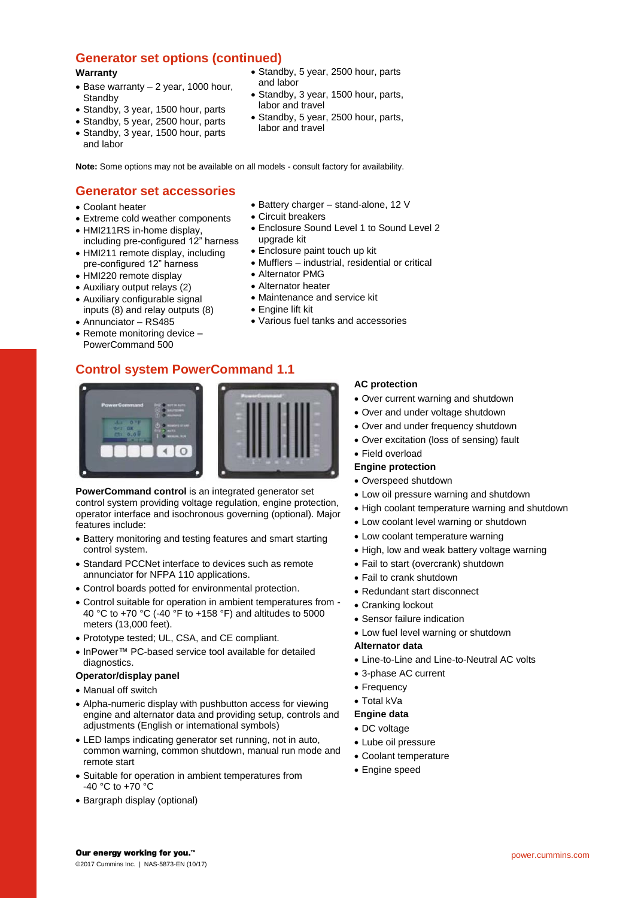## **Generator set options (continued)**

#### **Warranty**

- $\bullet$  Base warranty  $-$  2 year, 1000 hour, **Standby**
- Standby, 3 year, 1500 hour, parts
- Standby, 5 year, 2500 hour, parts
- Standby, 3 year, 1500 hour, parts and labor
- Standby, 5 year, 2500 hour, parts and labor
- Standby, 3 year, 1500 hour, parts, labor and travel
- Standby, 5 year, 2500 hour, parts, labor and travel

**Note:** Some options may not be available on all models - consult factory for availability.

## **Generator set accessories**

- Coolant heater
- Extreme cold weather components
- HMI211RS in-home display. including pre-configured 12" harness
- HMI211 remote display, including pre-configured 12" harness
- HMI220 remote display
- Auxiliary output relays (2)
- Auxiliary configurable signal
- inputs (8) and relay outputs (8)
- Annunciator RS485
- Remote monitoring device -PowerCommand 500

## **Control system PowerCommand 1.1**



**PowerCommand control** is an integrated generator set control system providing voltage regulation, engine protection, operator interface and isochronous governing (optional). Major features include:

- Battery monitoring and testing features and smart starting control system.
- Standard PCCNet interface to devices such as remote annunciator for NFPA 110 applications.
- Control boards potted for environmental protection.
- Control suitable for operation in ambient temperatures from 40 °C to +70 °C (-40 °F to +158 °F) and altitudes to 5000 meters (13,000 feet).
- Prototype tested; UL, CSA, and CE compliant.
- InPower™ PC-based service tool available for detailed diagnostics.

#### **Operator/display panel**

- Manual off switch
- Alpha-numeric display with pushbutton access for viewing engine and alternator data and providing setup, controls and adjustments (English or international symbols)
- LED lamps indicating generator set running, not in auto, common warning, common shutdown, manual run mode and remote start
- Suitable for operation in ambient temperatures from -40 °C to +70 °C
- Bargraph display (optional)
- Battery charger stand-alone, 12 V
- Circuit breakers
- Enclosure Sound Level 1 to Sound Level 2 upgrade kit
- Enclosure paint touch up kit
- Mufflers industrial, residential or critical
- Alternator PMG
- Alternator heater
- Maintenance and service kit
- Engine lift kit
- Various fuel tanks and accessories

#### **AC protection**

- Over current warning and shutdown
- Over and under voltage shutdown
- Over and under frequency shutdown
- Over excitation (loss of sensing) fault
- Field overload

#### **Engine protection**

- Overspeed shutdown
- Low oil pressure warning and shutdown
- High coolant temperature warning and shutdown
- Low coolant level warning or shutdown
- Low coolant temperature warning
- High, low and weak battery voltage warning
- Fail to start (overcrank) shutdown
- Fail to crank shutdown
- Redundant start disconnect
- Cranking lockout
- Sensor failure indication
- Low fuel level warning or shutdown

#### **Alternator data**

- Line-to-Line and Line-to-Neutral AC volts
- 3-phase AC current
- Frequency
- Total kVa

#### **Engine data**

- DC voltage
- Lube oil pressure
- Coolant temperature
- Engine speed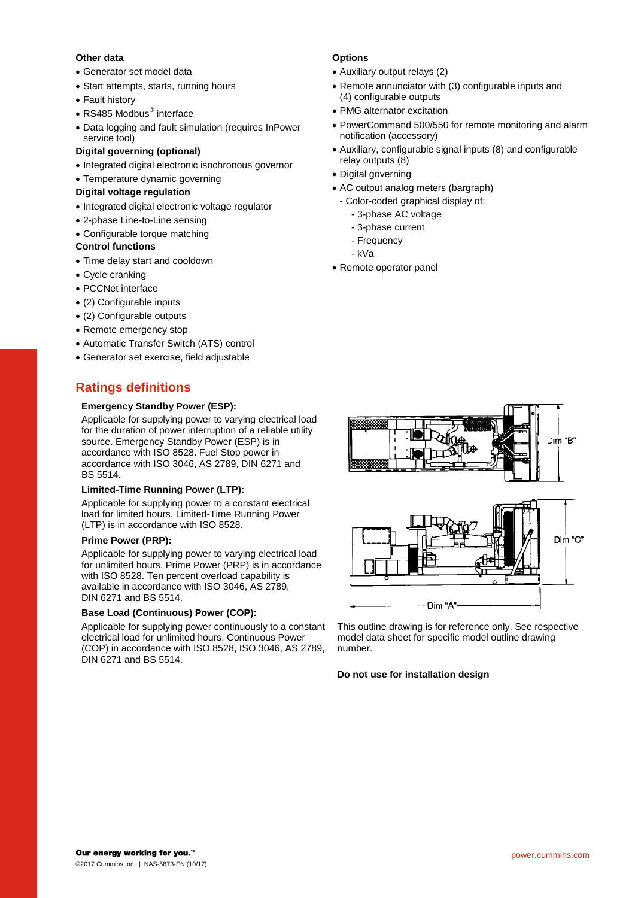#### **Other data**

- Generator set model data
- Start attempts, starts, running hours
- Fault history
- RS485 Modbus<sup>®</sup> interface
- Data logging and fault simulation (requires InPower service tool)

#### **Digital governing (optional)**

- Integrated digital electronic isochronous governor
- Temperature dynamic governing

#### **Digital voltage regulation**

- Integrated digital electronic voltage regulator
- 2-phase Line-to-Line sensing
- Configurable torque matching

#### **Control functions**

- Time delay start and cooldown
- Cycle cranking
- PCCNet interface
- (2) Configurable inputs
- (2) Configurable outputs
- Remote emergency stop
- Automatic Transfer Switch (ATS) control
- Generator set exercise, field adjustable

## **Ratings definitions**

#### **Emergency Standby Power (ESP):**

Applicable for supplying power to varying electrical load for the duration of power interruption of a reliable utility source. Emergency Standby Power (ESP) is in accordance with ISO 8528. Fuel Stop power in accordance with ISO 3046, AS 2789, DIN 6271 and BS 5514.

#### **Limited-Time Running Power (LTP):**

Applicable for supplying power to a constant electrical load for limited hours. Limited-Time Running Power (LTP) is in accordance with ISO 8528.

#### **Prime Power (PRP):**

Applicable for supplying power to varying electrical load for unlimited hours. Prime Power (PRP) is in accordance with ISO 8528. Ten percent overload capability is available in accordance with ISO 3046, AS 2789, DIN 6271 and BS 5514.

#### **Base Load (Continuous) Power (COP):**

Applicable for supplying power continuously to a constant electrical load for unlimited hours. Continuous Power (COP) in accordance with ISO 8528, ISO 3046, AS 2789, DIN 6271 and BS 5514.

#### **Options**

- Auxiliary output relays (2)
- Remote annunciator with (3) configurable inputs and (4) configurable outputs
- PMG alternator excitation
- PowerCommand 500/550 for remote monitoring and alarm notification (accessory)
- Auxiliary, configurable signal inputs (8) and configurable relay outputs (8)
- Digital governing
- AC output analog meters (bargraph)
	- Color-coded graphical display of:
		- 3-phase AC voltage
		- 3-phase current
		- Frequency
		- kVa
- Remote operator panel



This outline drawing is for reference only. See respective model data sheet for specific model outline drawing number.

#### **Do not use for installation design**